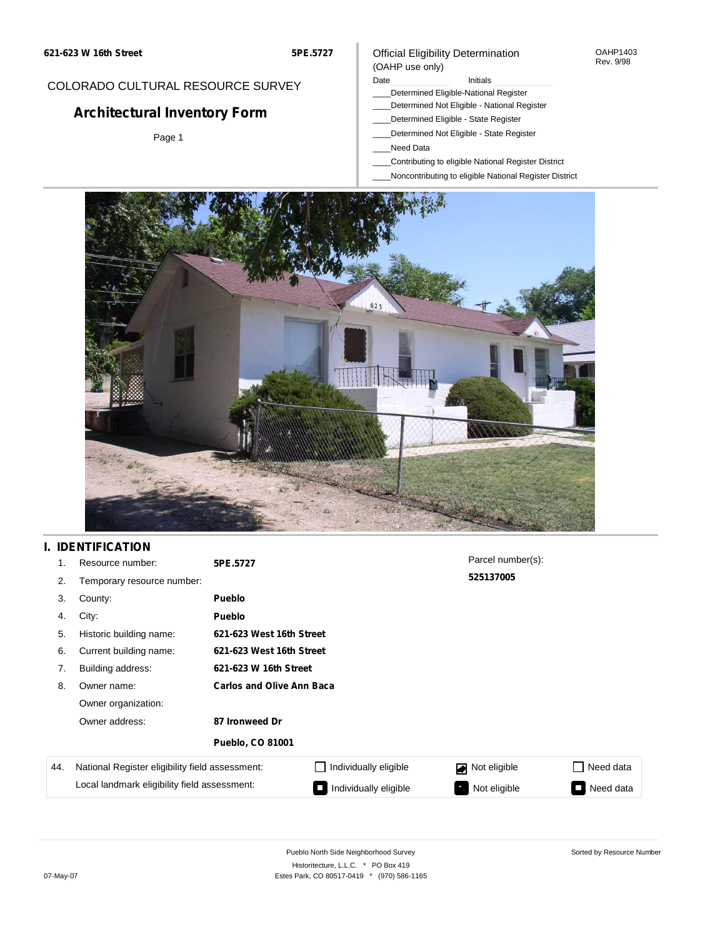**5PE.5727**

### Official Eligibility Determination (OAHP use only)

OAHP1403 Rev. 9/98

## COLORADO CULTURAL RESOURCE SURVEY

# **Architectural Inventory Form**

Page 1

### Date **Initials** Initials

- \_\_\_\_Determined Eligible-National Register
- \_\_\_\_Determined Not Eligible National Register \_\_\_\_Determined Eligible - State Register
- \_\_\_\_Determined Not Eligible State Register
- \_\_\_\_Need Data
- \_\_\_\_Contributing to eligible National Register District
- \_\_\_\_Noncontributing to eligible National Register District



## **I. IDENTIFICATION**

| 1 <sup>1</sup> | Resource number:                                                                                | 5PE.5727                         |                       | Parcel number(s): |                |
|----------------|-------------------------------------------------------------------------------------------------|----------------------------------|-----------------------|-------------------|----------------|
| 2.             | Temporary resource number:                                                                      |                                  |                       | 525137005         |                |
| 3.             | County:                                                                                         | <b>Pueblo</b>                    |                       |                   |                |
| 4.             | City:                                                                                           | <b>Pueblo</b>                    |                       |                   |                |
| 5.             | Historic building name:                                                                         | 621-623 West 16th Street         |                       |                   |                |
| 6.             | Current building name:                                                                          | 621-623 West 16th Street         |                       |                   |                |
| 7.             | Building address:                                                                               | 621-623 W 16th Street            |                       |                   |                |
| 8.             | Owner name:                                                                                     | <b>Carlos and Olive Ann Baca</b> |                       |                   |                |
|                | Owner organization:                                                                             |                                  |                       |                   |                |
|                | Owner address:                                                                                  | 87 Ironweed Dr                   |                       |                   |                |
|                |                                                                                                 | <b>Pueblo, CO 81001</b>          |                       |                   |                |
| 44.            | National Register eligibility field assessment:<br>Local landmark eligibility field assessment: |                                  | Individually eligible | Not eligible      | Need data      |
|                |                                                                                                 |                                  | Individually eligible | Not eligible      | Need data<br>Ξ |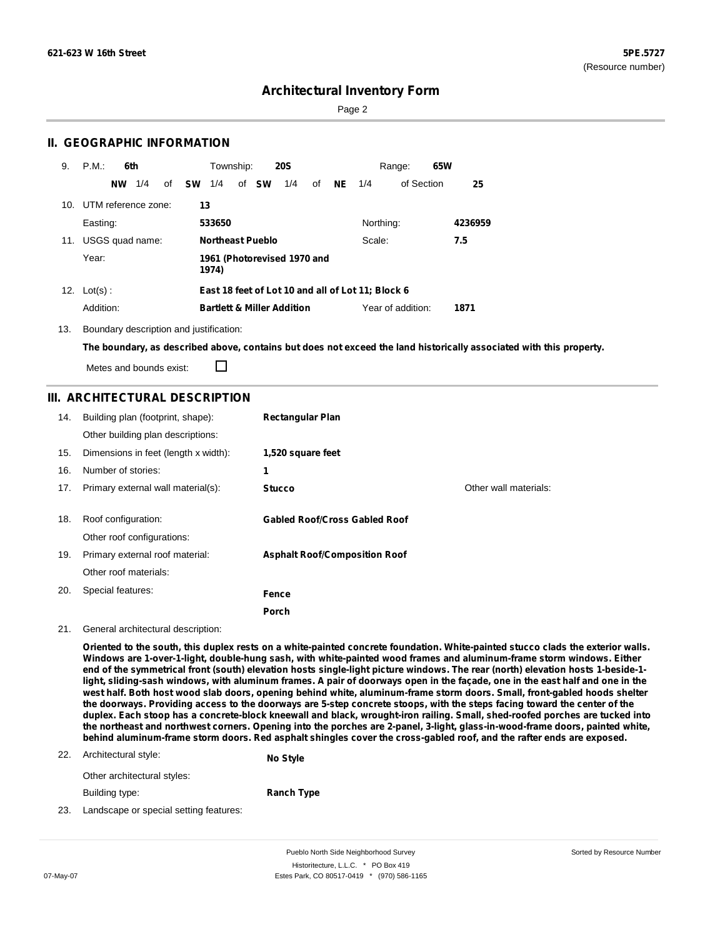Page 2

### **II. GEOGRAPHIC INFORMATION**

| 9.  | P.M.<br>6th            | <b>20S</b><br>Township:                           | 65W<br>Range:            |         |
|-----|------------------------|---------------------------------------------------|--------------------------|---------|
|     | 1/4<br><b>NW</b><br>of | <b>SW</b><br>of SW<br>1/4<br>1/4<br>οf            | of Section<br>NE.<br>1/4 | 25      |
| 10. | UTM reference zone:    | 13                                                |                          |         |
|     | Easting:               | 533650                                            | Northing:                | 4236959 |
| 11. | USGS quad name:        | <b>Northeast Pueblo</b>                           | Scale:                   | 7.5     |
|     | Year:                  | 1961 (Photorevised 1970 and<br>1974)              |                          |         |
| 12. | $Lot(s)$ :             | East 18 feet of Lot 10 and all of Lot 11; Block 6 |                          |         |
|     | Addition:              | <b>Bartlett &amp; Miller Addition</b>             | Year of addition:        | 1871    |

13. Boundary description and justification:

The boundary, as described above, contains but does not exceed the land historically associated with this property.

Metes and bounds exist:

П

### **III. ARCHITECTURAL DESCRIPTION**

| 14. | Building plan (footprint, shape):    | <b>Rectangular Plan</b>              |                       |
|-----|--------------------------------------|--------------------------------------|-----------------------|
|     | Other building plan descriptions:    |                                      |                       |
| 15. | Dimensions in feet (length x width): | 1,520 square feet                    |                       |
| 16. | Number of stories:                   | 1                                    |                       |
| 17. | Primary external wall material(s):   | <b>Stucco</b>                        | Other wall materials: |
|     |                                      |                                      |                       |
| 18. | Roof configuration:                  | <b>Gabled Roof/Cross Gabled Roof</b> |                       |
|     | Other roof configurations:           |                                      |                       |
| 19. | Primary external roof material:      | <b>Asphalt Roof/Composition Roof</b> |                       |
|     | Other roof materials:                |                                      |                       |
| 20. | Special features:                    | <b>Fence</b>                         |                       |
|     |                                      | Porch                                |                       |

#### 21. General architectural description:

Oriented to the south, this duplex rests on a white-painted concrete foundation. White-painted stucco clads the exterior walls. **Windows are 1-over-1-light, double-hung sash, with white-painted wood frames and aluminum-frame storm windows. Either** end of the symmetrical front (south) elevation hosts single-light picture windows. The rear (north) elevation hosts 1-beside-1light, sliding-sash windows, with aluminum frames. A pair of doorways open in the façade, one in the east half and one in the west half. Both host wood slab doors, opening behind white, aluminum-frame storm doors. Small, front-gabled hoods shelter the doorways. Providing access to the doorways are 5-step concrete stoops, with the steps facing toward the center of the duplex. Each stoop has a concrete-block kneewall and black, wrought-iron railing. Small, shed-roofed porches are tucked into the northeast and northwest corners. Opening into the porches are 2-panel, 3-light, glass-in-wood-frame doors, painted white, behind aluminum-frame storm doors. Red asphalt shingles cover the cross-gabled roof, and the rafter ends are exposed.

#### 22. Architectural style:

**No Style**

Other architectural styles:

Building type: **Ranch Type**

23. Landscape or special setting features: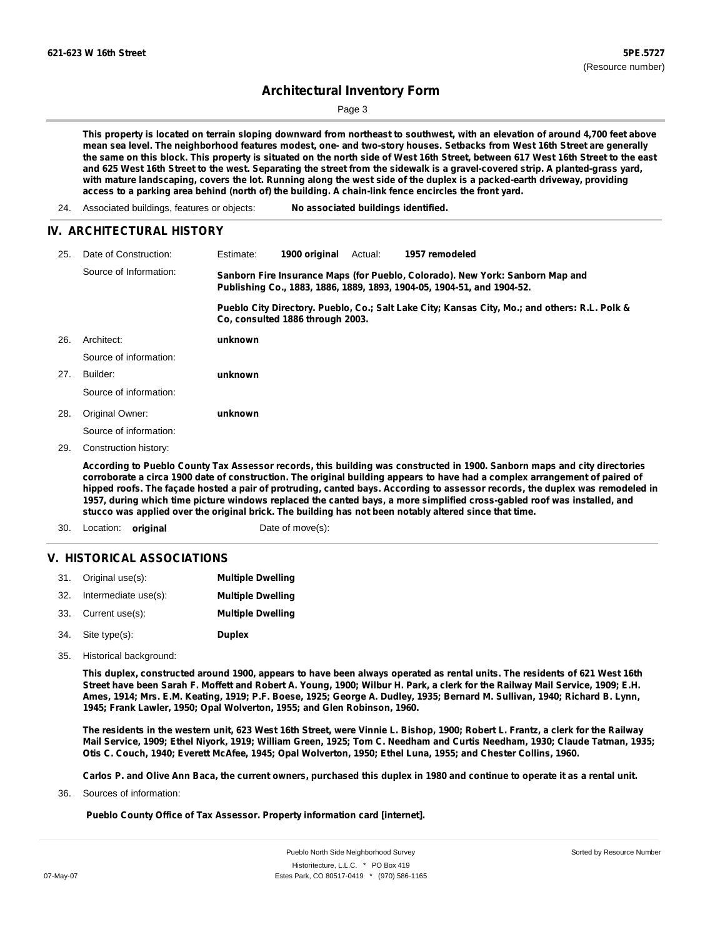Sorted by Resource Number

## **Architectural Inventory Form**

Page 3

This property is located on terrain sloping downward from northeast to southwest, with an elevation of around 4,700 feet above mean sea level. The neighborhood features modest, one- and two-story houses. Setbacks from West 16th Street are generally the same on this block. This property is situated on the north side of West 16th Street, between 617 West 16th Street to the east and 625 West 16th Street to the west. Separating the street from the sidewalk is a gravel-covered strip. A planted-grass yard, with mature landscaping, covers the lot. Running along the west side of the duplex is a packed-earth driveway, providing **access to a parking area behind (north of) the building. A chain-link fence encircles the front yard.**

24. Associated buildings, features or objects: **No associated buildings identified.**

#### **IV. ARCHITECTURAL HISTORY**

| 25. | Date of Construction:  | Estimate:                                                                                                                                               | 1900 original                    | Actual: | 1957 remodeled                                                                                |
|-----|------------------------|---------------------------------------------------------------------------------------------------------------------------------------------------------|----------------------------------|---------|-----------------------------------------------------------------------------------------------|
|     | Source of Information: | Sanborn Fire Insurance Maps (for Pueblo, Colorado). New York: Sanborn Map and<br>Publishing Co., 1883, 1886, 1889, 1893, 1904-05, 1904-51, and 1904-52. |                                  |         |                                                                                               |
|     |                        |                                                                                                                                                         | Co. consulted 1886 through 2003. |         | Pueblo City Directory. Pueblo, Co.; Salt Lake City; Kansas City, Mo.; and others: R.L. Polk & |
| 26. | Architect:             | unknown                                                                                                                                                 |                                  |         |                                                                                               |
|     | Source of information: |                                                                                                                                                         |                                  |         |                                                                                               |
| 27. | Builder:               | unknown                                                                                                                                                 |                                  |         |                                                                                               |
|     | Source of information: |                                                                                                                                                         |                                  |         |                                                                                               |
| 28. | Original Owner:        | unknown                                                                                                                                                 |                                  |         |                                                                                               |
|     | Source of information: |                                                                                                                                                         |                                  |         |                                                                                               |
| ה ה | Conctruction biotonu   |                                                                                                                                                         |                                  |         |                                                                                               |

Construction history: 29.

> According to Pueblo County Tax Assessor records, this building was constructed in 1900. Sanborn maps and city directories corroborate a circa 1900 date of construction. The original building appears to have had a complex arrangement of paired of hipped roofs. The façade hosted a pair of protruding, canted bays. According to assessor records, the duplex was remodeled in 1957, during which time picture windows replaced the canted bays, a more simplified cross-gabled roof was installed, and **stucco was applied over the original brick. The building has not been notably altered since that time.**

30. Location: **original** Date of move(s):

#### **V. HISTORICAL ASSOCIATIONS**

|     | 31. Original use(s): | <b>Multiple Dwelling</b> |
|-----|----------------------|--------------------------|
| 32. | Intermediate use(s): | <b>Multiple Dwelling</b> |
|     | 33. Current use(s):  | <b>Multiple Dwelling</b> |
|     | 34. Site type(s):    | <b>Duplex</b>            |

35. Historical background:

This duplex, constructed around 1900, appears to have been always operated as rental units. The residents of 621 West 16th Street have been Sarah F. Moffett and Robert A. Young, 1900; Wilbur H. Park, a clerk for the Railway Mail Service, 1909; E.H. Ames, 1914; Mrs. E.M. Keating, 1919; P.F. Boese, 1925; George A. Dudley, 1935; Bernard M. Sullivan, 1940; Richard B. Lynn, **1945; Frank Lawler, 1950; Opal Wolverton, 1955; and Glen Robinson, 1960.**

The residents in the western unit, 623 West 16th Street, were Vinnie L. Bishop, 1900; Robert L. Frantz, a clerk for the Railway Mail Service, 1909; Ethel Niyork, 1919; William Green, 1925; Tom C. Needham and Curtis Needham, 1930; Claude Tatman, 1935; Otis C. Couch, 1940; Everett McAfee, 1945; Opal Wolverton, 1950; Ethel Luna, 1955; and Chester Collins, 1960.

Carlos P. and Olive Ann Baca, the current owners, purchased this duplex in 1980 and continue to operate it as a rental unit.

Sources of information: 36.

**Pueblo County Office of Tax Assessor. Property information card [internet].**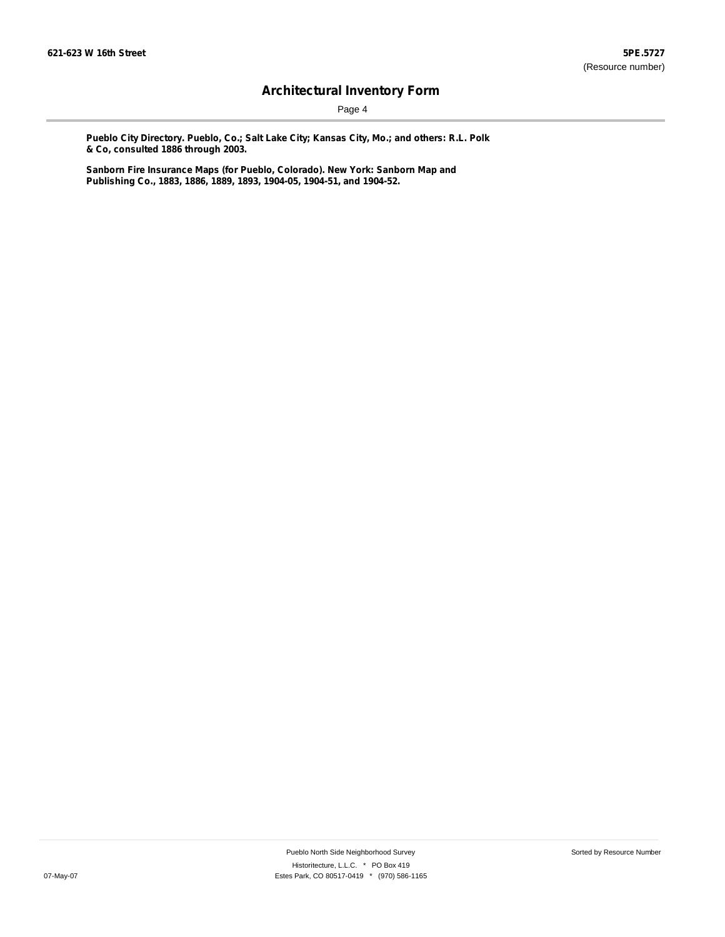Page 4

**Pueblo City Directory. Pueblo, Co.; Salt Lake City; Kansas City, Mo.; and others: R.L. Polk & Co, consulted 1886 through 2003.**

**Sanborn Fire Insurance Maps (for Pueblo, Colorado). New York: Sanborn Map and Publishing Co., 1883, 1886, 1889, 1893, 1904-05, 1904-51, and 1904-52.**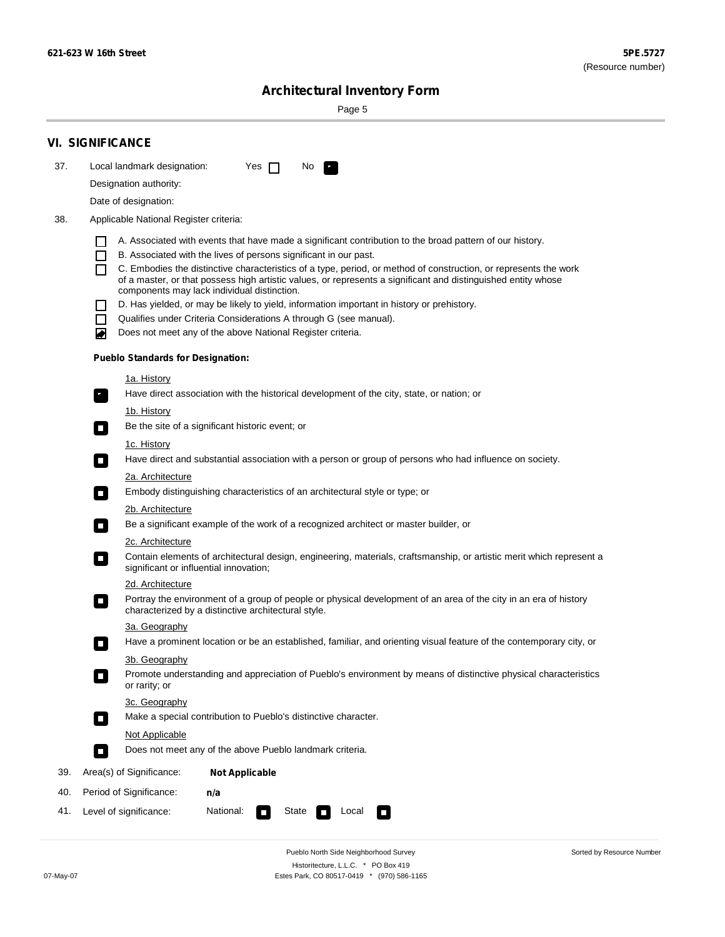÷

Sorted by Resource Number

# **Architectural Inventory Form**

Page 5

|                        | <b>VI. SIGNIFICANCE</b>                                                                                                                                                                |  |  |  |
|------------------------|----------------------------------------------------------------------------------------------------------------------------------------------------------------------------------------|--|--|--|
| 37.                    | Local landmark designation:<br>Yes $\Box$<br>No.<br>$\mathbf{F}$                                                                                                                       |  |  |  |
| Designation authority: |                                                                                                                                                                                        |  |  |  |
|                        | Date of designation:                                                                                                                                                                   |  |  |  |
| 38.                    | Applicable National Register criteria:                                                                                                                                                 |  |  |  |
|                        |                                                                                                                                                                                        |  |  |  |
|                        | A. Associated with events that have made a significant contribution to the broad pattern of our history.<br>B. Associated with the lives of persons significant in our past.<br>$\Box$ |  |  |  |
|                        | C. Embodies the distinctive characteristics of a type, period, or method of construction, or represents the work                                                                       |  |  |  |
|                        | of a master, or that possess high artistic values, or represents a significant and distinguished entity whose<br>components may lack individual distinction.                           |  |  |  |
|                        | D. Has yielded, or may be likely to yield, information important in history or prehistory.                                                                                             |  |  |  |
|                        | Qualifies under Criteria Considerations A through G (see manual).<br>П                                                                                                                 |  |  |  |
|                        | Does not meet any of the above National Register criteria.<br>₩                                                                                                                        |  |  |  |
|                        | <b>Pueblo Standards for Designation:</b>                                                                                                                                               |  |  |  |
|                        | 1a. History                                                                                                                                                                            |  |  |  |
|                        | Have direct association with the historical development of the city, state, or nation; or<br>$\mathcal{F}_1$                                                                           |  |  |  |
|                        | 1b. History                                                                                                                                                                            |  |  |  |
|                        | Be the site of a significant historic event; or<br>$\sim$                                                                                                                              |  |  |  |
|                        | 1c. History                                                                                                                                                                            |  |  |  |
|                        | Have direct and substantial association with a person or group of persons who had influence on society.<br>$\overline{\phantom{a}}$                                                    |  |  |  |
|                        | 2a. Architecture                                                                                                                                                                       |  |  |  |
|                        | Embody distinguishing characteristics of an architectural style or type; or<br>О                                                                                                       |  |  |  |
|                        | <u>2b. Architecture</u>                                                                                                                                                                |  |  |  |
|                        | Be a significant example of the work of a recognized architect or master builder, or<br>$\mathcal{L}_{\mathcal{A}}$                                                                    |  |  |  |
|                        | 2c. Architecture                                                                                                                                                                       |  |  |  |
|                        | Contain elements of architectural design, engineering, materials, craftsmanship, or artistic merit which represent a<br>$\blacksquare$<br>significant or influential innovation;       |  |  |  |
|                        | 2d. Architecture                                                                                                                                                                       |  |  |  |
|                        | Portray the environment of a group of people or physical development of an area of the city in an era of history<br>$\Box$<br>characterized by a distinctive architectural style.      |  |  |  |
|                        | 3a. Geography                                                                                                                                                                          |  |  |  |
|                        | Have a prominent location or be an established, familiar, and orienting visual feature of the contemporary city, or                                                                    |  |  |  |
|                        | 3b. Geography                                                                                                                                                                          |  |  |  |
|                        | Promote understanding and appreciation of Pueblo's environment by means of distinctive physical characteristics<br>I.<br>or rarity; or                                                 |  |  |  |
|                        | 3c. Geography                                                                                                                                                                          |  |  |  |
|                        | Make a special contribution to Pueblo's distinctive character.<br>$\mathcal{L}_{\mathcal{A}}$                                                                                          |  |  |  |
|                        | Not Applicable                                                                                                                                                                         |  |  |  |
|                        | Does not meet any of the above Pueblo landmark criteria.<br>O                                                                                                                          |  |  |  |
| 39.                    | Area(s) of Significance:<br><b>Not Applicable</b>                                                                                                                                      |  |  |  |
| 40.                    | Period of Significance:<br>n/a                                                                                                                                                         |  |  |  |
| 41.                    | National:<br>Level of significance:<br>State<br>Local<br>О<br>$\sim$<br>$\sim$                                                                                                         |  |  |  |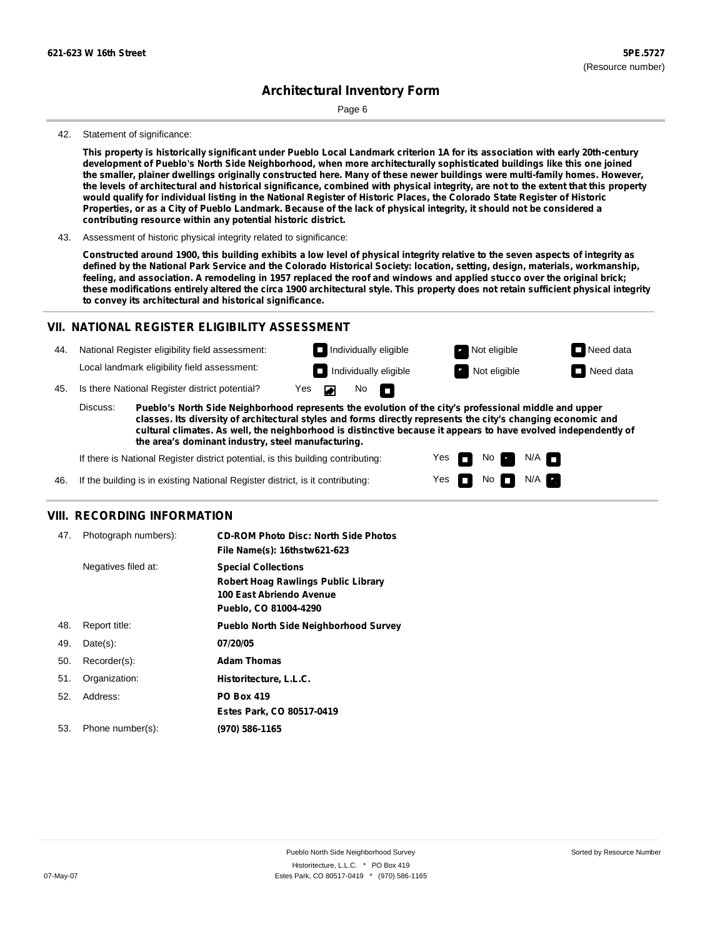Page 6

#### 42. Statement of significance:

This property is historically significant under Pueblo Local Landmark criterion 1A for its association with early 20th-century **development of Pueblo's North Side Neighborhood, when more architecturally sophisticated buildings like this one joined** the smaller, plainer dwellings originally constructed here. Many of these newer buildings were multi-family homes. However, the levels of architectural and historical significance, combined with physical integrity, are not to the extent that this property would qualify for individual listing in the National Register of Historic Places, the Colorado State Register of Historic Properties, or as a City of Pueblo Landmark. Because of the lack of physical integrity, it should not be considered a **contributing resource within any potential historic district.**

43. Assessment of historic physical integrity related to significance:

Constructed around 1900, this building exhibits a low level of physical integrity relative to the seven aspects of integrity as defined by the National Park Service and the Colorado Historical Society: location, setting, design, materials, workmanship, feeling, and association. A remodeling in 1957 replaced the roof and windows and applied stucco over the original brick; these modifications entirely altered the circa 1900 architectural style. This property does not retain sufficient physical integrity **to convey its architectural and historical significance.**

#### **VII. NATIONAL REGISTER ELIGIBILITY ASSESSMENT**

44. National Register eligibility field assessment: Local landmark eligibility field assessment:

 $\overline{\phantom{0}}$ 

 $\blacksquare$ 

**Individually eligible Not eligible** Not eligible **Need data** 

Yes Yes No

No  $\blacksquare$  N/A

N/A

**Individually eligible Not eligible** Not eligible **Need data** 

45. Is there National Register district potential? Yes

**Pueblo's North Side Neighborhood represents the evolution of the city's professional middle and upper classes. Its diversity of architectural styles and forms directly represents the city's changing economic and cultural climates. As well, the neighborhood is distinctive because it appears to have evolved independently of the area's dominant industry, steel manufacturing.** Discuss:

If there is National Register district potential, is this building contributing:

46. If the building is in existing National Register district, is it contributing:

#### **VIII. RECORDING INFORMATION**

| 47. | Photograph numbers): | <b>CD-ROM Photo Disc: North Side Photos</b><br>File Name(s): 16thstw621-623                                                   |
|-----|----------------------|-------------------------------------------------------------------------------------------------------------------------------|
|     | Negatives filed at:  | <b>Special Collections</b><br><b>Robert Hoag Rawlings Public Library</b><br>100 East Abriendo Avenue<br>Pueblo, CO 81004-4290 |
| 48. | Report title:        | <b>Pueblo North Side Neighborhood Survey</b>                                                                                  |
| 49. | $Date(s)$ :          | 07/20/05                                                                                                                      |
| 50. | Recorder(s):         | <b>Adam Thomas</b>                                                                                                            |
| 51. | Organization:        | Historitecture, L.L.C.                                                                                                        |
| 52. | Address:             | <b>PO Box 419</b>                                                                                                             |
|     |                      | Estes Park, CO 80517-0419                                                                                                     |
| 53. | Phone number(s):     | (970) 586-1165                                                                                                                |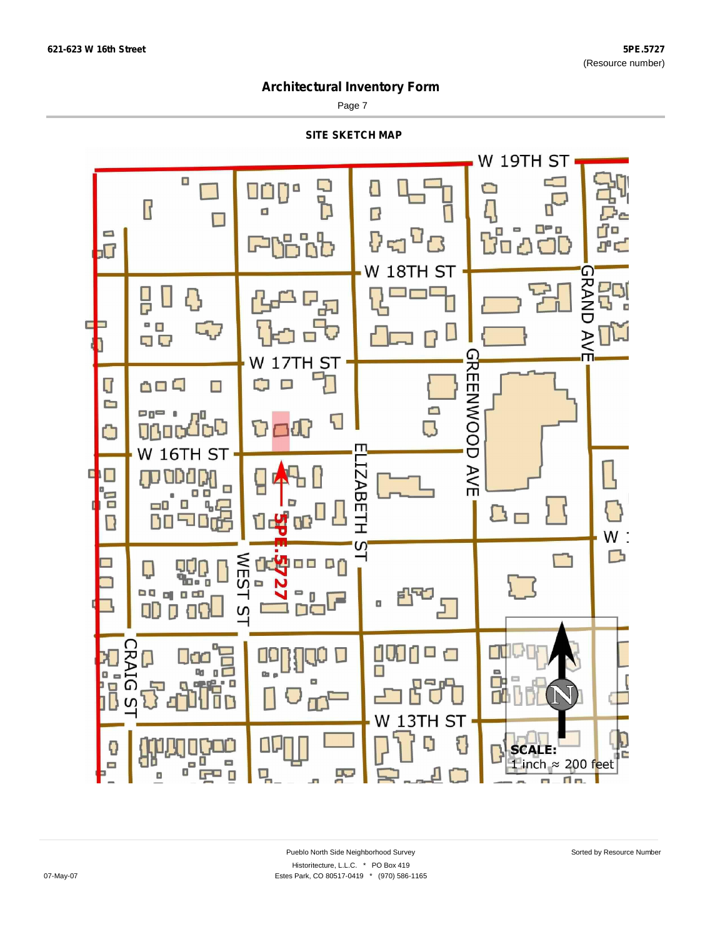Page 7